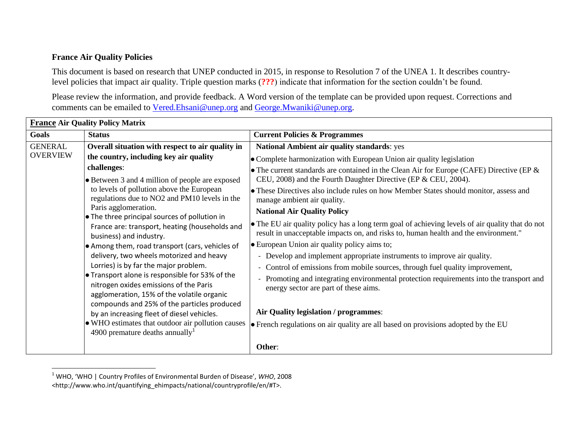## **France Air Quality Policies**

l

This document is based on research that UNEP conducted in 2015, in response to Resolution 7 of the UNEA 1. It describes countrylevel policies that impact air quality. Triple question marks (**???**) indicate that information for the section couldn't be found.

Please review the information, and provide feedback. A Word version of the template can be provided upon request. Corrections and comments can be emailed to [Vered.Ehsani@unep.org](mailto:Vered.Ehsani@unep.org) and [George.Mwaniki@unep.org.](mailto:George.Mwaniki@unep.org)

| <b>France Air Quality Policy Matrix</b> |                                                                                                                                                                                                                                                                                                                                                                       |                                                                                                                                                                                        |  |  |
|-----------------------------------------|-----------------------------------------------------------------------------------------------------------------------------------------------------------------------------------------------------------------------------------------------------------------------------------------------------------------------------------------------------------------------|----------------------------------------------------------------------------------------------------------------------------------------------------------------------------------------|--|--|
| Goals                                   | <b>Status</b>                                                                                                                                                                                                                                                                                                                                                         | <b>Current Policies &amp; Programmes</b>                                                                                                                                               |  |  |
| <b>GENERAL</b><br><b>OVERVIEW</b>       | Overall situation with respect to air quality in                                                                                                                                                                                                                                                                                                                      | <b>National Ambient air quality standards: yes</b>                                                                                                                                     |  |  |
|                                         | the country, including key air quality                                                                                                                                                                                                                                                                                                                                | • Complete harmonization with European Union air quality legislation                                                                                                                   |  |  |
|                                         | challenges:<br>• Between 3 and 4 million of people are exposed<br>to levels of pollution above the European<br>regulations due to NO2 and PM10 levels in the<br>Paris agglomeration.<br>• The three principal sources of pollution in<br>France are: transport, heating (households and<br>business) and industry.<br>• Among them, road transport (cars, vehicles of | • The current standards are contained in the Clean Air for Europe (CAFE) Directive (EP $\&$<br>CEU, 2008) and the Fourth Daughter Directive (EP & CEU, 2004).                          |  |  |
|                                         |                                                                                                                                                                                                                                                                                                                                                                       | • These Directives also include rules on how Member States should monitor, assess and<br>manage ambient air quality.                                                                   |  |  |
|                                         |                                                                                                                                                                                                                                                                                                                                                                       | <b>National Air Quality Policy</b>                                                                                                                                                     |  |  |
|                                         |                                                                                                                                                                                                                                                                                                                                                                       | • The EU air quality policy has a long term goal of achieving levels of air quality that do not<br>result in unacceptable impacts on, and risks to, human health and the environment." |  |  |
|                                         |                                                                                                                                                                                                                                                                                                                                                                       | <b>European Union air quality policy aims to;</b>                                                                                                                                      |  |  |
|                                         | delivery, two wheels motorized and heavy                                                                                                                                                                                                                                                                                                                              | - Develop and implement appropriate instruments to improve air quality.                                                                                                                |  |  |
|                                         | Lorries) is by far the major problem.                                                                                                                                                                                                                                                                                                                                 | - Control of emissions from mobile sources, through fuel quality improvement,                                                                                                          |  |  |
|                                         | $\bullet$ Transport alone is responsible for 53% of the<br>nitrogen oxides emissions of the Paris<br>agglomeration, 15% of the volatile organic<br>compounds and 25% of the particles produced<br>by an increasing fleet of diesel vehicles.<br>• WHO estimates that outdoor air pollution causes<br>4900 premature deaths annually <sup>1</sup>                      | Promoting and integrating environmental protection requirements into the transport and<br>energy sector are part of these aims.                                                        |  |  |
|                                         |                                                                                                                                                                                                                                                                                                                                                                       | Air Quality legislation / programmes:                                                                                                                                                  |  |  |
|                                         |                                                                                                                                                                                                                                                                                                                                                                       | $\bullet$ French regulations on air quality are all based on provisions adopted by the EU                                                                                              |  |  |
|                                         |                                                                                                                                                                                                                                                                                                                                                                       | Other:                                                                                                                                                                                 |  |  |

<sup>1</sup> WHO, 'WHO | Country Profiles of Environmental Burden of Disease', *WHO*, 2008 <http://www.who.int/quantifying\_ehimpacts/national/countryprofile/en/#T>.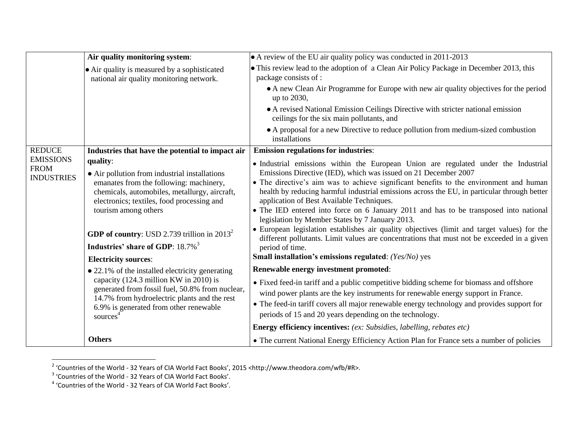|                                                      | Air quality monitoring system:                                                                                                                                                                                                                                                                                                                                      | • A review of the EU air quality policy was conducted in 2011-2013                                                                                                                                                                                                                                                                                                                                                                                                                                                                                                                                                                                                                                                                                                                                                        |
|------------------------------------------------------|---------------------------------------------------------------------------------------------------------------------------------------------------------------------------------------------------------------------------------------------------------------------------------------------------------------------------------------------------------------------|---------------------------------------------------------------------------------------------------------------------------------------------------------------------------------------------------------------------------------------------------------------------------------------------------------------------------------------------------------------------------------------------------------------------------------------------------------------------------------------------------------------------------------------------------------------------------------------------------------------------------------------------------------------------------------------------------------------------------------------------------------------------------------------------------------------------------|
|                                                      | $\bullet$ Air quality is measured by a sophisticated<br>national air quality monitoring network.                                                                                                                                                                                                                                                                    | • This review lead to the adoption of a Clean Air Policy Package in December 2013, this<br>package consists of :                                                                                                                                                                                                                                                                                                                                                                                                                                                                                                                                                                                                                                                                                                          |
|                                                      |                                                                                                                                                                                                                                                                                                                                                                     | • A new Clean Air Programme for Europe with new air quality objectives for the period<br>up to 2030,                                                                                                                                                                                                                                                                                                                                                                                                                                                                                                                                                                                                                                                                                                                      |
|                                                      |                                                                                                                                                                                                                                                                                                                                                                     | • A revised National Emission Ceilings Directive with stricter national emission<br>ceilings for the six main pollutants, and                                                                                                                                                                                                                                                                                                                                                                                                                                                                                                                                                                                                                                                                                             |
|                                                      |                                                                                                                                                                                                                                                                                                                                                                     | • A proposal for a new Directive to reduce pollution from medium-sized combustion<br>installations                                                                                                                                                                                                                                                                                                                                                                                                                                                                                                                                                                                                                                                                                                                        |
| <b>REDUCE</b>                                        | Industries that have the potential to impact air                                                                                                                                                                                                                                                                                                                    | <b>Emission regulations for industries:</b>                                                                                                                                                                                                                                                                                                                                                                                                                                                                                                                                                                                                                                                                                                                                                                               |
| <b>EMISSIONS</b><br><b>FROM</b><br><b>INDUSTRIES</b> | quality:<br>• Air pollution from industrial installations<br>emanates from the following: machinery,<br>chemicals, automobiles, metallurgy, aircraft,<br>electronics; textiles, food processing and<br>tourism among others<br><b>GDP of country:</b> USD 2.739 trillion in $2013^2$<br>Industries' share of GDP: 18.7% <sup>3</sup><br><b>Electricity sources:</b> | • Industrial emissions within the European Union are regulated under the Industrial<br>Emissions Directive (IED), which was issued on 21 December 2007<br>• The directive's aim was to achieve significant benefits to the environment and human<br>health by reducing harmful industrial emissions across the EU, in particular through better<br>application of Best Available Techniques.<br>• The IED entered into force on 6 January 2011 and has to be transposed into national<br>legislation by Member States by 7 January 2013.<br>• European legislation establishes air quality objectives (limit and target values) for the<br>different pollutants. Limit values are concentrations that must not be exceeded in a given<br>period of time.<br><b>Small installation's emissions regulated:</b> (Yes/No) yes |
|                                                      | • 22.1% of the installed electricity generating                                                                                                                                                                                                                                                                                                                     | Renewable energy investment promoted:                                                                                                                                                                                                                                                                                                                                                                                                                                                                                                                                                                                                                                                                                                                                                                                     |
|                                                      | capacity (124.3 million KW in 2010) is<br>generated from fossil fuel, 50.8% from nuclear,<br>14.7% from hydroelectric plants and the rest<br>6.9% is generated from other renewable<br>sources <sup>4</sup>                                                                                                                                                         | • Fixed feed-in tariff and a public competitive bidding scheme for biomass and offshore<br>wind power plants are the key instruments for renewable energy support in France.<br>• The feed-in tariff covers all major renewable energy technology and provides support for<br>periods of 15 and 20 years depending on the technology.                                                                                                                                                                                                                                                                                                                                                                                                                                                                                     |
|                                                      |                                                                                                                                                                                                                                                                                                                                                                     | <b>Energy efficiency incentives:</b> (ex: Subsidies, labelling, rebates etc)                                                                                                                                                                                                                                                                                                                                                                                                                                                                                                                                                                                                                                                                                                                                              |
|                                                      | <b>Others</b>                                                                                                                                                                                                                                                                                                                                                       | • The current National Energy Efficiency Action Plan for France sets a number of policies                                                                                                                                                                                                                                                                                                                                                                                                                                                                                                                                                                                                                                                                                                                                 |

<sup>&</sup>lt;sup>2</sup> 'Countries of the World - 32 Years of CIA World Fact Books', 2015 <http://www.theodora.com/wfb/#R>.<br><sup>3</sup> 'Countries of the World - 32 Years of CIA World Fact Books'.<br><sup>4</sup> 'Countries of the World - 32 Years of CIA World F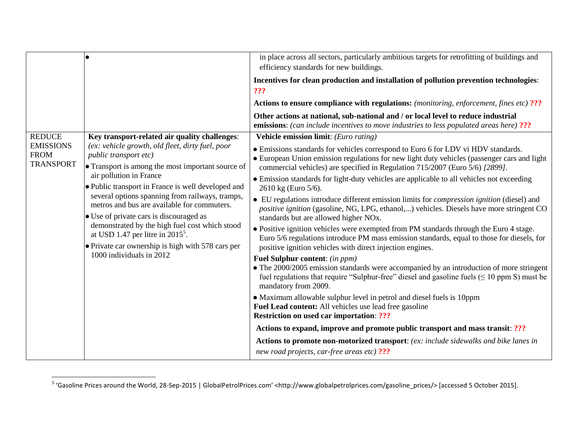|                                                     |                                                                                                                                                                                                                                                                                                                                                                                                      | in place across all sectors, particularly ambitious targets for retrofitting of buildings and<br>efficiency standards for new buildings.                                                                                                                         |
|-----------------------------------------------------|------------------------------------------------------------------------------------------------------------------------------------------------------------------------------------------------------------------------------------------------------------------------------------------------------------------------------------------------------------------------------------------------------|------------------------------------------------------------------------------------------------------------------------------------------------------------------------------------------------------------------------------------------------------------------|
|                                                     |                                                                                                                                                                                                                                                                                                                                                                                                      | Incentives for clean production and installation of pollution prevention technologies:<br>???                                                                                                                                                                    |
|                                                     |                                                                                                                                                                                                                                                                                                                                                                                                      | Actions to ensure compliance with regulations: (monitoring, enforcement, fines etc) ???                                                                                                                                                                          |
|                                                     |                                                                                                                                                                                                                                                                                                                                                                                                      | Other actions at national, sub-national and / or local level to reduce industrial<br><b>emissions:</b> (can include incentives to move industries to less populated areas here) ???                                                                              |
| <b>REDUCE</b>                                       | Key transport-related air quality challenges:                                                                                                                                                                                                                                                                                                                                                        | Vehicle emission limit: (Euro rating)                                                                                                                                                                                                                            |
| <b>EMISSIONS</b><br><b>FROM</b><br><b>TRANSPORT</b> | (ex: vehicle growth, old fleet, dirty fuel, poor<br><i>public transport etc)</i><br>• Transport is among the most important source of                                                                                                                                                                                                                                                                | • Emissions standards for vehicles correspond to Euro 6 for LDV vi HDV standards.<br>• European Union emission regulations for new light duty vehicles (passenger cars and light<br>commercial vehicles) are specified in Regulation 715/2007 (Euro 5/6) [2899]. |
|                                                     | air pollution in France<br>• Public transport in France is well developed and<br>several options spanning from railways, tramps,<br>metros and bus are available for commuters.<br>• Use of private cars is discouraged as<br>demonstrated by the high fuel cost which stood<br>at USD 1.47 per litre in $2015^5$ .<br>• Private car ownership is high with 578 cars per<br>1000 individuals in 2012 | • Emission standards for light-duty vehicles are applicable to all vehicles not exceeding<br>2610 kg (Euro 5/6).                                                                                                                                                 |
|                                                     |                                                                                                                                                                                                                                                                                                                                                                                                      | • EU regulations introduce different emission limits for <i>compression ignition</i> (diesel) and<br><i>positive ignition</i> (gasoline, NG, LPG, ethanol,) vehicles. Diesels have more stringent CO<br>standards but are allowed higher NO <sub>x</sub> .       |
|                                                     |                                                                                                                                                                                                                                                                                                                                                                                                      | • Positive ignition vehicles were exempted from PM standards through the Euro 4 stage.<br>Euro 5/6 regulations introduce PM mass emission standards, equal to those for diesels, for<br>positive ignition vehicles with direct injection engines.                |
|                                                     |                                                                                                                                                                                                                                                                                                                                                                                                      | <b>Fuel Sulphur content:</b> (in ppm)<br>• The 2000/2005 emission standards were accompanied by an introduction of more stringent<br>fuel regulations that require "Sulphur-free" diesel and gasoline fuels ( $\leq$ 10 ppm S) must be<br>mandatory from 2009.   |
|                                                     |                                                                                                                                                                                                                                                                                                                                                                                                      | • Maximum allowable sulphur level in petrol and diesel fuels is 10ppm<br>Fuel Lead content: All vehicles use lead free gasoline<br><b>Restriction on used car importation: ???</b>                                                                               |
|                                                     |                                                                                                                                                                                                                                                                                                                                                                                                      | Actions to expand, improve and promote public transport and mass transit: ???                                                                                                                                                                                    |
|                                                     |                                                                                                                                                                                                                                                                                                                                                                                                      | Actions to promote non-motorized transport: (ex: include sidewalks and bike lanes in<br>new road projects, car-free areas etc) ???                                                                                                                               |

 5 'Gasoline Prices around the World, 28-Sep-2015 | GlobalPetrolPrices.com' <http://www.globalpetrolprices.com/gasoline\_prices/> [accessed 5 October 2015].